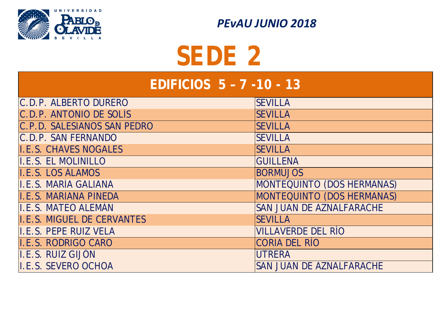#### **EDIFICIOS 5 – 7 -10 - 13**

| C.D.P. ALBERTO DURERO        | <b>SEVILLA</b>            |
|------------------------------|---------------------------|
| C.D.P. ANTONIO DE SOLÍS      | <b>SEVILLA</b>            |
| C.P.D. SALESIANOS SAN PEDRO  | <b>SEVILLA</b>            |
| C.D.P. SAN FERNANDO          | <b>SEVILLA</b>            |
| <b>I.E.S. CHAVES NOGALES</b> | <b>SEVILLA</b>            |
| I.E.S. EL MOLINILLO          | <b>GUILLENA</b>           |
| I.E.S. LOS ÁLAMOS            | <b>BORMUJOS</b>           |
| II.E.S. MARÍA GALIANA        | <b>MONTEQUINTO (DOS</b>   |
| I.E.S. MARIANA PINEDA        | MONTEQUINTO (DOS          |
| II.E.S. MATEO ALEMÁN         | <b>SAN JUAN DE AZNAL</b>  |
| I.E.S. MIGUEL DE CERVANTES   | <b>SEVILLA</b>            |
| II.E.S. PEPE RUIZ VELA       | <b>VILLAVERDE DEL RÍO</b> |
| I.E.S. RODRIGO CARO          | <b>CORIA DEL RÍO</b>      |
| II.E.S. RUIZ GIJÓN           | <b>UTRERA</b>             |
| <b>I.E.S. SEVERO OCHOA</b>   | <b>SAN JUAN DE AZNAL</b>  |

# **OS HERMANAS) OS HERMANAS) ALFARACHE ALFARACHE**



 *PEvAU JUNIO 2018*

*SEDE 2*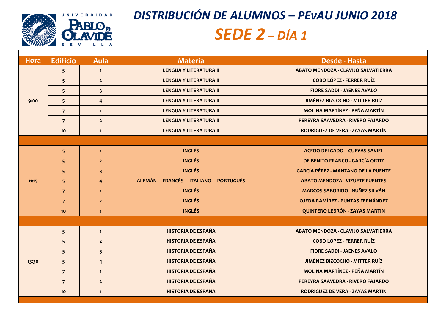| Hora  | <b>Edificio</b> | Aula           | Materia                                 | <b>Desde - Hasta</b>                       |
|-------|-----------------|----------------|-----------------------------------------|--------------------------------------------|
| 9:00  | 5 <sup>5</sup>  | $\mathbf{1}$   | <b>LENGUA Y LITERATURA II</b>           | <b>ABATO MENDOZA - CLAVIJO SALVATIERRA</b> |
|       | 5 <sup>5</sup>  | $\overline{2}$ | <b>LENGUA Y LITERATURA II</b>           | <b>COBO LÓPEZ - FERRER RUÍZ</b>            |
|       | 5 <sup>5</sup>  | 3 <sup>5</sup> | <b>LENGUA Y LITERATURA II</b>           | <b>FIORE SADDI - JAENES AVALO</b>          |
|       | 5 <sup>5</sup>  | $\overline{4}$ | <b>LENGUA Y LITERATURA II</b>           | <b>JIMÉNEZ BIZCOCHO - MITTER RUÍZ</b>      |
|       | $\overline{7}$  | $\mathbf{1}$   | <b>LENGUA Y LITERATURA II</b>           | <b>MOLINA MARTÍNEZ - PEÑA MARTÍN</b>       |
|       | $\overline{7}$  | $\overline{2}$ | <b>LENGUA Y LITERATURA II</b>           | PEREYRA SAAVEDRA - RIVERO FAJARDO          |
|       | 10              | $\mathbf{1}$   | <b>LENGUA Y LITERATURA II</b>           | RODRÍGUEZ DE VERA - ZAYAS MARTÍN           |
|       |                 |                |                                         |                                            |
|       | 5 <sup>5</sup>  | $\mathbf{1}$   | <b>INGLÉS</b>                           | <b>ACEDO DELGADO - CUEVAS SAVIEL</b>       |
| 11:15 | 5 <sup>5</sup>  | $\overline{2}$ | <b>INGLÉS</b>                           | DE BENITO FRANCO - GARCÍA ORTIZ            |
|       | 5 <sup>1</sup>  | 3 <sup>2</sup> | <b>INGLÉS</b>                           | <b>GARCÍA PÉREZ - MANZANO DE LA PUENTE</b> |
|       | 5 <sup>5</sup>  | $\overline{4}$ | ALEMÁN - FRANCÉS - ITALIANO - PORTUGUÉS | <b>ABATO MENDOZA - VIZUETE FUENTES</b>     |
|       | $\overline{7}$  | $\mathbf{1}$   | <b>INGLÉS</b>                           | <b>MARCOS SABORIDO - NUÑEZ SILVÁN</b>      |
|       | $\overline{7}$  | $\overline{2}$ | <b>INGLÉS</b>                           | <b>OJEDA RAMÍREZ - PUNTAS FERNÁNDEZ</b>    |
|       | 10              | $\mathbf{1}$   | <b>INGLÉS</b>                           | <b>QUINTERO LEBRÓN - ZAYAS MARTÍN</b>      |
|       |                 |                |                                         |                                            |
| 13:30 | 5 <sup>5</sup>  | $\mathbf{1}$   | <b>HISTORIA DE ESPAÑA</b>               | <b>ABATO MENDOZA - CLAVIJO SALVATIERRA</b> |
|       | 5 <sup>5</sup>  | $\overline{2}$ | <b>HISTORIA DE ESPAÑA</b>               | <b>COBO LÓPEZ - FERRER RUÍZ</b>            |
|       | 5 <sup>5</sup>  | 3 <sup>2</sup> | <b>HISTORIA DE ESPAÑA</b>               | <b>FIORE SADDI - JAENES AVALO</b>          |
|       | 5 <sup>5</sup>  | $\overline{4}$ | <b>HISTORIA DE ESPAÑA</b>               | <b>JIMÉNEZ BIZCOCHO - MITTER RUÍZ</b>      |
|       | $\overline{7}$  | $\mathbf{1}$   | <b>HISTORIA DE ESPAÑA</b>               | <b>MOLINA MARTÍNEZ - PEÑA MARTÍN</b>       |
|       | $\overline{7}$  | $\overline{2}$ | <b>HISTORIA DE ESPAÑA</b>               | PEREYRA SAAVEDRA - RIVERO FAJARDO          |
|       | 10 <sub>o</sub> | $\mathbf{1}$   | <b>HISTORIA DE ESPAÑA</b>               | RODRÍGUEZ DE VERA - ZAYAS MARTÍN           |





 $\bullet$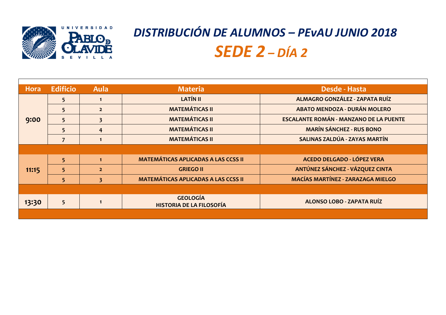## **5 1 LATÍN II ALMAGRO GONZÁLEZ - ZAPATA RUÍZ**

**5 2 MATEMÁTICAS II ABATO MENDOZA - DURÁN MOLERO**

**MANZANO DE LA PUENTE** 

 $CHEZ - RUS BONO$ 

 $\hat{U}$ A - ZAYAS MARTÍN

| <b>Hora</b> | <b>Edificio</b> | Aula           | <b>Materia</b>                                     | Desde - Hasta                    |
|-------------|-----------------|----------------|----------------------------------------------------|----------------------------------|
| 9:00        | 5 <sup>5</sup>  | $\mathbf 1$    | <b>LATÍN II</b>                                    | <b>ALMAGRO GONZÁLEZ - ZAF</b>    |
|             | 5               | 2 <sup>1</sup> | <b>MATEMÁTICAS II</b>                              | <b>ABATO MENDOZA - DURÁN</b>     |
|             | 5               |                | <b>MATEMÁTICAS II</b>                              | <b>ESCALANTE ROMÁN - MANZANO</b> |
|             | 5 <sup>1</sup>  | $\overline{4}$ | <b>MATEMÁTICAS II</b>                              | <b>MARÍN SÁNCHEZ - RUS</b>       |
|             |                 |                | <b>MATEMÁTICAS II</b>                              | <b>SALINAS ZALDÚA - ZAYAS</b>    |
|             |                 |                |                                                    |                                  |
| 11:15       | 5 <sup>1</sup>  | $\mathbf{1}$   | <b>MATEMÁTICAS APLICADAS A LAS CCSS II</b>         | <b>ACEDO DELGADO - LÓPE</b>      |
|             | 5 <sup>1</sup>  | 2 <sup>1</sup> | <b>GRIEGO II</b>                                   | <b>ANTÚNEZ SÁNCHEZ - VÁZQI</b>   |
|             | 5               | 3 <sup>1</sup> | <b>MATEMÁTICAS APLICADAS A LAS CCSS II</b>         | <b>MACÍAS MARTÍNEZ - ZARAZA</b>  |
|             |                 |                |                                                    |                                  |
| 13:30       | 5               |                | <b>GEOLOGÍA</b><br><b>HISTORIA DE LA FILOSOFÍA</b> | <b>ALONSO LOBO - ZAPATA</b>      |
|             |                 |                |                                                    |                                  |

**5 1 MATEMÁTICAS APLICADAS A LAS CCSS II ACEDO DELGADO - LÓPEZ VERA**

**12 AUREA - VÁZQUEZ CINTA** 

**5 3 MATEMÁTICAS APLICADAS A LAS CCSS II MACÍAS MARTÍNEZ - ZARAZAGA MIELGO**

#### **HISTORIA DE LA FILOSOFÍA ALONSO LOBO - ZAPATA RUÍZ**



## *DISTRIBUCIÓN DE ALUMNOS – PEvAU JUNIO 2018 SEDE 2 – DÍA 2*